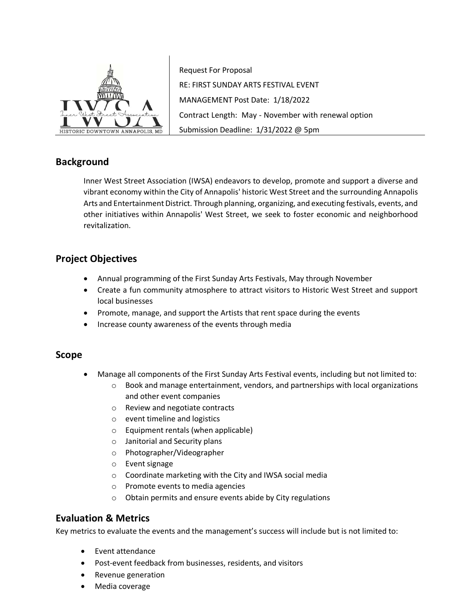

Request For Proposal RE: FIRST SUNDAY ARTS FESTIVAL EVENT MANAGEMENT Post Date: 1/18/2022 Contract Length: May - November with renewal option Submission Deadline: 1/31/2022 @ 5pm

# **Background**

Inner West Street Association (IWSA) endeavors to develop, promote and support a diverse and vibrant economy within the City of Annapolis' historic West Street and the surrounding Annapolis Arts and Entertainment District. Through planning, organizing, and executing festivals, events, and other initiatives within Annapolis' West Street, we seek to foster economic and neighborhood revitalization.

## **Project Objectives**

- Annual programming of the First Sunday Arts Festivals, May through November
- Create a fun community atmosphere to attract visitors to Historic West Street and support local businesses
- Promote, manage, and support the Artists that rent space during the events
- Increase county awareness of the events through media

#### **Scope**

- Manage all components of the First Sunday Arts Festival events, including but not limited to:
	- $\circ$  Book and manage entertainment, vendors, and partnerships with local organizations and other event companies
	- o Review and negotiate contracts
	- o event timeline and logistics
	- o Equipment rentals (when applicable)
	- o Janitorial and Security plans
	- o Photographer/Videographer
	- o Event signage
	- o Coordinate marketing with the City and IWSA social media
	- o Promote events to media agencies
	- o Obtain permits and ensure events abide by City regulations

## **Evaluation & Metrics**

Key metrics to evaluate the events and the management's success will include but is not limited to:

- Event attendance
- Post-event feedback from businesses, residents, and visitors
- Revenue generation
- Media coverage